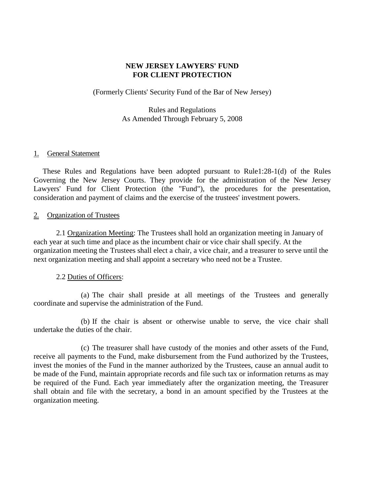### **NEW JERSEY LAWYERS' FUND FOR CLIENT PROTECTION**

(Formerly Clients' Security Fund of the Bar of New Jersey)

Rules and Regulations As Amended Through February 5, 2008

# 1. General Statement

These Rules and Regulations have been adopted pursuant to Rule1:28-1(d) of the Rules Governing the New Jersey Courts. They provide for the administration of the New Jersey Lawyers' Fund for Client Protection (the "Fund"), the procedures for the presentation, consideration and payment of claims and the exercise of the trustees' investment powers.

# 2. Organization of Trustees

2.1 Organization Meeting: The Trustees shall hold an organization meeting in January of each year at such time and place as the incumbent chair or vice chair shall specify. At the organization meeting the Trustees shall elect a chair, a vice chair, and a treasurer to serve until the next organization meeting and shall appoint a secretary who need not be a Trustee.

# 2.2 Duties of Officers:

(a) The chair shall preside at all meetings of the Trustees and generally coordinate and supervise the administration of the Fund.

(b) If the chair is absent or otherwise unable to serve, the vice chair shall undertake the duties of the chair.

(c) The treasurer shall have custody of the monies and other assets of the Fund, receive all payments to the Fund, make disbursement from the Fund authorized by the Trustees, invest the monies of the Fund in the manner authorized by the Trustees, cause an annual audit to be made of the Fund, maintain appropriate records and file such tax or information returns as may be required of the Fund. Each year immediately after the organization meeting, the Treasurer shall obtain and file with the secretary, a bond in an amount specified by the Trustees at the organization meeting.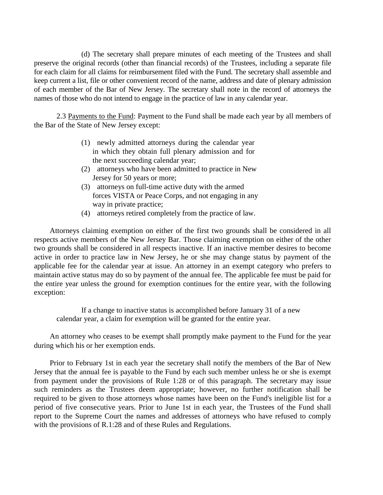(d) The secretary shall prepare minutes of each meeting of the Trustees and shall preserve the original records (other than financial records) of the Trustees, including a separate file for each claim for all claims for reimbursement filed with the Fund. The secretary shall assemble and keep current a list, file or other convenient record of the name, address and date of plenary admission of each member of the Bar of New Jersey. The secretary shall note in the record of attorneys the names of those who do not intend to engage in the practice of law in any calendar year.

2.3 Payments to the Fund: Payment to the Fund shall be made each year by all members of the Bar of the State of New Jersey except:

- (1) newly admitted attorneys during the calendar year in which they obtain full plenary admission and for the next succeeding calendar year;
- (2) attorneys who have been admitted to practice in New Jersey for 50 years or more;
- (3) attorneys on full-time active duty with the armed forces VISTA or Peace Corps, and not engaging in any way in private practice;
- (4) attorneys retired completely from the practice of law.

Attorneys claiming exemption on either of the first two grounds shall be considered in all respects active members of the New Jersey Bar. Those claiming exemption on either of the other two grounds shall be considered in all respects inactive. If an inactive member desires to become active in order to practice law in New Jersey, he or she may change status by payment of the applicable fee for the calendar year at issue. An attorney in an exempt category who prefers to maintain active status may do so by payment of the annual fee. The applicable fee must be paid for the entire year unless the ground for exemption continues for the entire year, with the following exception:

If a change to inactive status is accomplished before January 31 of a new calendar year, a claim for exemption will be granted for the entire year.

An attorney who ceases to be exempt shall promptly make payment to the Fund for the year during which his or her exemption ends.

Prior to February 1st in each year the secretary shall notify the members of the Bar of New Jersey that the annual fee is payable to the Fund by each such member unless he or she is exempt from payment under the provisions of Rule 1:28 or of this paragraph. The secretary may issue such reminders as the Trustees deem appropriate; however, no further notification shall be required to be given to those attorneys whose names have been on the Fund's ineligible list for a period of five consecutive years. Prior to June 1st in each year, the Trustees of the Fund shall report to the Supreme Court the names and addresses of attorneys who have refused to comply with the provisions of R.1:28 and of these Rules and Regulations.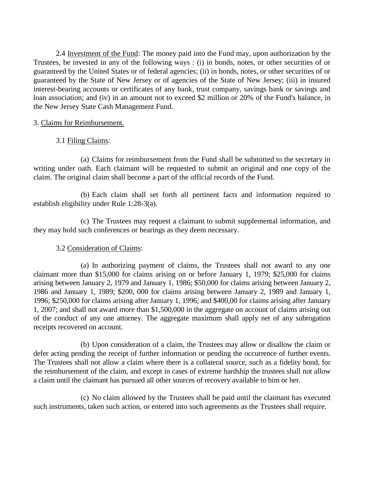2.4 Investment of the Fund: The money paid into the Fund may, upon authorization by the Trustees, be invested in any of the following ways : (i) in bonds, notes, or other securities of or guaranteed by the United States or of federal agencies; (ii) in bonds, notes, or other securities of or guaranteed by the State of New Jersey or of agencies of the State of New Jersey; (iii) in insured interest-bearing accounts or certificates of any bank, trust company, savings bank or savings and loan association; and (iv) in an amount not to exceed \$2 million or 20% of the Fund's balance, in the New Jersey State Cash Management Fund.

### 3. Claims for Reimbursement.

# 3.1 Filing Claims:

(a) Claims for reimbursement from the Fund shall be submitted to the secretary in writing under oath. Each claimant will be requested to submit an original and one copy of the claim. The original claim shall become a part of the official records of the Fund.

(b) Each claim shall set forth all pertinent facts and information required to establish eligibility under Rule 1:28-3(a).

(c) The Trustees may request a claimant to submit supplemental information, and they may hold such conferences or hearings as they deem necessary.

### 3.2 Consideration of Claims:

(a) In authorizing payment of claims, the Trustees shall not award to any one claimant more than \$15,000 for claims arising on or before January 1, 1979; \$25,000 for claims arising between January 2, 1979 and January 1, 1986; \$50,000 for claims arising between January 2, 1986 and January 1, 1989; \$200, 000 for claims arising between January 2, 1989 and January 1, 1996; \$250,000 for claims arising after January 1, 1996; and \$400,00 for claims arising after January 1, 2007; and shall not award more than \$1,500,000 in the aggregate on account of claims arising out of the conduct of any one attorney. The aggregate maximum shall apply net of any subrogation receipts recovered on account.

(b) Upon consideration of a claim, the Trustees may allow or disallow the claim or defer acting pending the receipt of further information or pending the occurrence of further events. The Trustees shall not allow a claim where there is a collateral source, such as a fidelity bond, for the reimbursement of the claim, and except in cases of extreme hardship the trustees shall not allow a claim until the claimant has pursued all other sources of recovery available to him or her.

(c) No claim allowed by the Trustees shall be paid until the claimant has executed such instruments, taken such action, or entered into such agreements as the Trustees shall require.